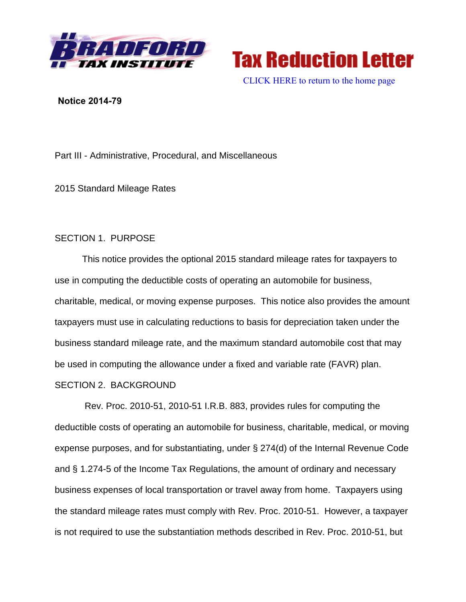

**Tax Reduction Letter** 

[CLICK HERE to return to the home page](bradfordtaxinstitute.com)

### **Notice 2014-79**

Part III - Administrative, Procedural, and Miscellaneous

2015 Standard Mileage Rates

# SECTION 1. PURPOSE

This notice provides the optional 2015 standard mileage rates for taxpayers to use in computing the deductible costs of operating an automobile for business, charitable, medical, or moving expense purposes. This notice also provides the amount taxpayers must use in calculating reductions to basis for depreciation taken under the business standard mileage rate, and the maximum standard automobile cost that may be used in computing the allowance under a fixed and variable rate (FAVR) plan.

## SECTION 2. BACKGROUND

Rev. Proc. 2010-51, 2010-51 I.R.B. 883, provides rules for computing the deductible costs of operating an automobile for business, charitable, medical, or moving expense purposes, and for substantiating, under § 274(d) of the Internal Revenue Code and § 1.274-5 of the Income Tax Regulations, the amount of ordinary and necessary business expenses of local transportation or travel away from home. Taxpayers using the standard mileage rates must comply with Rev. Proc. 2010-51. However, a taxpayer is not required to use the substantiation methods described in Rev. Proc. 2010-51, but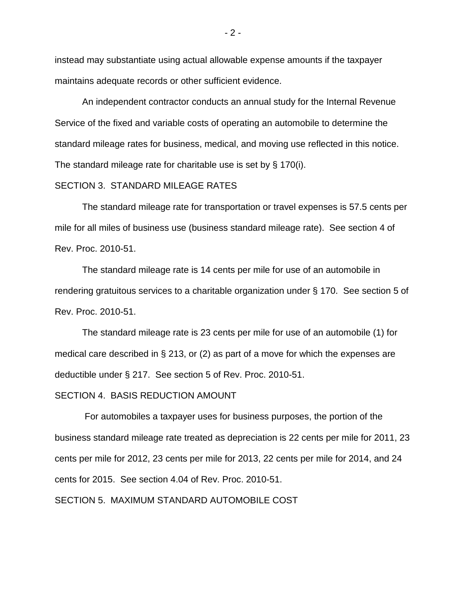instead may substantiate using actual allowable expense amounts if the taxpayer maintains adequate records or other sufficient evidence.

An independent contractor conducts an annual study for the Internal Revenue Service of the fixed and variable costs of operating an automobile to determine the standard mileage rates for business, medical, and moving use reflected in this notice. The standard mileage rate for charitable use is set by § 170(i).

### SECTION 3. STANDARD MILEAGE RATES

The standard mileage rate for transportation or travel expenses is 57.5 cents per mile for all miles of business use (business standard mileage rate). See section 4 of Rev. Proc. 2010-51.

The standard mileage rate is 14 cents per mile for use of an automobile in rendering gratuitous services to a charitable organization under § 170. See section 5 of Rev. Proc. 2010-51.

The standard mileage rate is 23 cents per mile for use of an automobile (1) for medical care described in § 213, or (2) as part of a move for which the expenses are deductible under § 217. See section 5 of Rev. Proc. 2010-51.

#### SECTION 4. BASIS REDUCTION AMOUNT

For automobiles a taxpayer uses for business purposes, the portion of the business standard mileage rate treated as depreciation is 22 cents per mile for 2011, 23 cents per mile for 2012, 23 cents per mile for 2013, 22 cents per mile for 2014, and 24 cents for 2015. See section 4.04 of Rev. Proc. 2010-51.

### SECTION 5. MAXIMUM STANDARD AUTOMOBILE COST